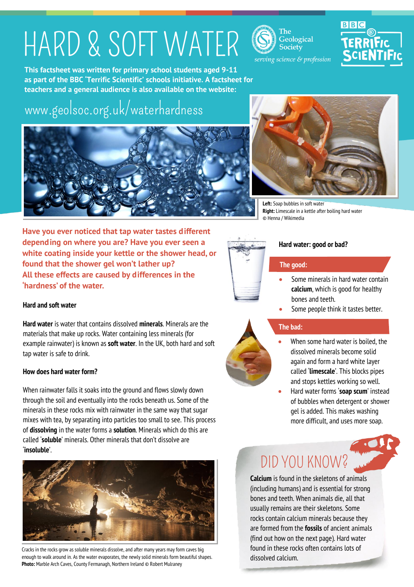# HARD & SOFT WATER

The Geological **Society** 



serving science & profession

**This factsheet was written for primary school students aged 9-11 as part of the BBC 'Terrific Scientific' schools initiative. A factsheet for teachers and a general audience is also available on the website:**

# [www.geolsoc.org.uk/waterhardness](http://www.geolsoc.org.uk/waterhardness)





**Left:** Soap bubbles in soft water **Right:** Limescale in a kettle after boiling hard water © Henna / Wikimedia

**Have you ever noticed that tap water tastes different depending on where you are? Have you ever seen a white coating inside your kettle or the shower head, or found that the shower gel won't lather up? All these effects are caused by differences in the 'hardness' of the water.**

### **Hard and soft water**

**Hard water** is water that contains dissolved **minerals**. Minerals are the materials that make up rocks. Water containing less minerals (for example rainwater) is known as **soft water**. In the UK, both hard and soft tap water is safe to drink.

### **How does hard water form?**

When rainwater falls it soaks into the ground and flows slowly down through the soil and eventually into the rocks beneath us. Some of the minerals in these rocks mix with rainwater in the same way that sugar mixes with tea, by separating into particles too small to see. This process of **dissolving** in the water forms a **solution**. Minerals which do this are called '**soluble**' minerals. Other minerals that don't dissolve are '**insoluble**'.



Cracks in the rocks grow as soluble minerals dissolve, and after many years may form caves big enough to walk around in. As the water evaporates, the newly solid minerals form beautiful shapes. **Photo:** Marble Arch Caves, County Fermanagh, Northern Ireland © Robert Mulraney



### **Hard water: good or bad?**

### **The good:**

- Some minerals in hard water contain **calcium**, which is good for healthy bones and teeth.
- Some people think it tastes better.

## **The bad:**

- When some hard water is boiled, the dissolved minerals become solid again and form a hard white layer called '**limescale**'. This blocks pipes and stops kettles working so well.
- Hard water forms '**soap scum**' instead of bubbles when detergent or shower gel is added. This makes washing more difficult, and uses more soap.

# DID YOU KNOW?

**Calcium** is found in the skeletons of animals (including humans) and is essential for strong bones and teeth. When animals die, all that usually remains are their skeletons. Some rocks contain calcium minerals because they are formed from the **fossils** of ancient animals (find out how on the next page). Hard water found in these rocks often contains lots of dissolved calcium.